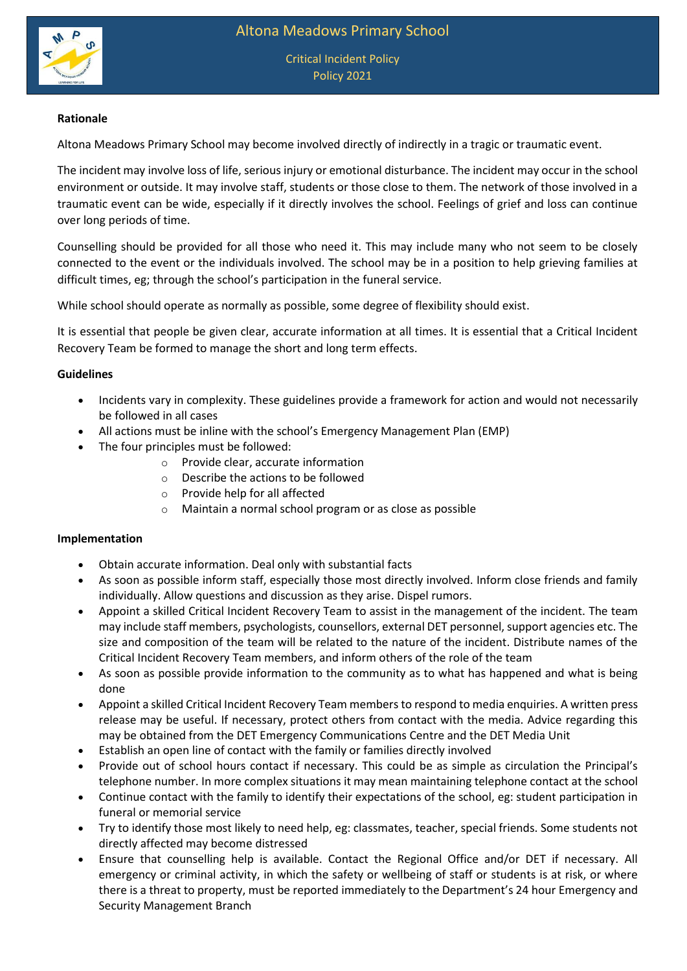

## **Rationale**

Altona Meadows Primary School may become involved directly of indirectly in a tragic or traumatic event.

The incident may involve loss of life, serious injury or emotional disturbance. The incident may occur in the school environment or outside. It may involve staff, students or those close to them. The network of those involved in a traumatic event can be wide, especially if it directly involves the school. Feelings of grief and loss can continue over long periods of time.

Counselling should be provided for all those who need it. This may include many who not seem to be closely connected to the event or the individuals involved. The school may be in a position to help grieving families at difficult times, eg; through the school's participation in the funeral service.

While school should operate as normally as possible, some degree of flexibility should exist.

It is essential that people be given clear, accurate information at all times. It is essential that a Critical Incident Recovery Team be formed to manage the short and long term effects.

## **Guidelines**

- Incidents vary in complexity. These guidelines provide a framework for action and would not necessarily be followed in all cases
- All actions must be inline with the school's Emergency Management Plan (EMP)
- The four principles must be followed:
	- o Provide clear, accurate information
	- o Describe the actions to be followed
	- o Provide help for all affected
	- o Maintain a normal school program or as close as possible

## **Implementation**

- Obtain accurate information. Deal only with substantial facts
- As soon as possible inform staff, especially those most directly involved. Inform close friends and family individually. Allow questions and discussion as they arise. Dispel rumors.
- Appoint a skilled Critical Incident Recovery Team to assist in the management of the incident. The team may include staff members, psychologists, counsellors, external DET personnel, support agencies etc. The size and composition of the team will be related to the nature of the incident. Distribute names of the Critical Incident Recovery Team members, and inform others of the role of the team
- As soon as possible provide information to the community as to what has happened and what is being done
- Appoint a skilled Critical Incident Recovery Team members to respond to media enquiries. A written press release may be useful. If necessary, protect others from contact with the media. Advice regarding this may be obtained from the DET Emergency Communications Centre and the DET Media Unit
- Establish an open line of contact with the family or families directly involved
- Provide out of school hours contact if necessary. This could be as simple as circulation the Principal's telephone number. In more complex situations it may mean maintaining telephone contact at the school
- Continue contact with the family to identify their expectations of the school, eg: student participation in funeral or memorial service
- Try to identify those most likely to need help, eg: classmates, teacher, special friends. Some students not directly affected may become distressed
- Ensure that counselling help is available. Contact the Regional Office and/or DET if necessary. All emergency or criminal activity, in which the safety or wellbeing of staff or students is at risk, or where there is a threat to property, must be reported immediately to the Department's 24 hour Emergency and Security Management Branch